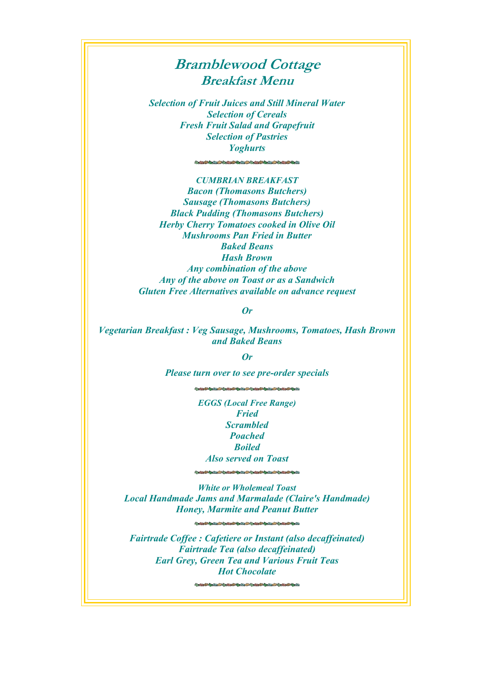## **Bramblewood Cottage Breakfast Menu**

*Selection of Fruit Juices and Still Mineral Water Selection of Cereals Fresh Fruit Salad and Grapefruit Selection of Pastries Yoghurts*

*CUMBRIAN BREAKFAST Bacon (Thomasons Butchers) Sausage (Thomasons Butchers) Black Pudding (Thomasons Butchers) Herby Cherry Tomatoes cooked in Olive Oil Mushrooms Pan Fried in Butter Baked Beans Hash Brown Any combination of the above Any of the above on Toast or as a Sandwich Gluten Free Alternatives available on advance request*

*Or*

*Vegetarian Breakfast : Veg Sausage, Mushrooms, Tomatoes, Hash Brown and Baked Beans*

*Or*

*Please turn over to see pre-order specials*

*EGGS (Local Free Range) Fried Scrambled Poached Boiled Also served on Toast*

*White or Wholemeal Toast Local Handmade Jams and Marmalade (Claire's Handmade) Honey, Marmite and Peanut Butter*

**的复数医学家医学家医学家医学家医学家医学家医学家医学** 

*Fairtrade Coffee : Cafetiere or Instant (also decaffeinated) Fairtrade Tea (also decaffeinated) Earl Grey, Green Tea and Various Fruit Teas Hot Chocolate*